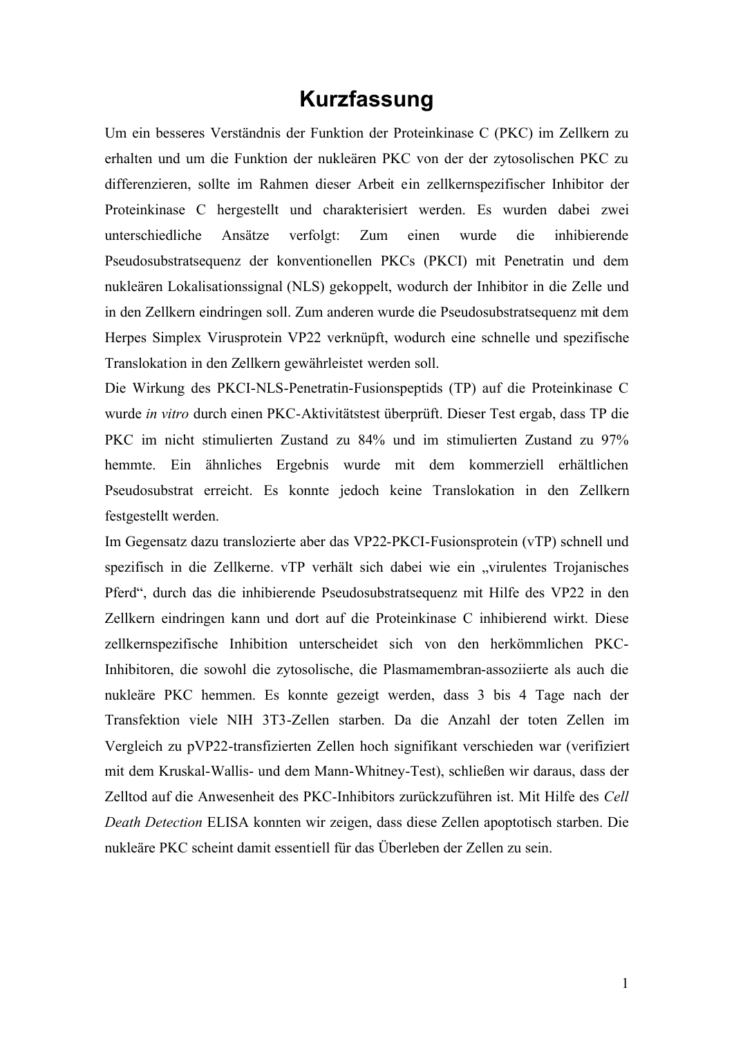## **Kurzfassung**

Um ein besseres Verständnis der Funktion der Proteinkinase C (PKC) im Zellkern zu erhalten und um die Funktion der nukleären PKC von der der zytosolischen PKC zu differenzieren, sollte im Rahmen dieser Arbeit ein zellkernspezifischer Inhibitor der Proteinkinase C hergestellt und charakterisiert werden. Es wurden dabei zwei unterschiedliche Ansätze verfolgt: Zum einen wurde die inhibierende Pseudosubstratsequenz der konventionellen PKCs (PKCI) mit Penetratin und dem nukleären Lokalisationssignal (NLS) gekoppelt, wodurch der Inhibitor in die Zelle und in den Zellkern eindringen soll. Zum anderen wurde die Pseudosubstratsequenz mit dem Herpes Simplex Virusprotein VP22 verknüpft, wodurch eine schnelle und spezifische Translokation in den Zellkern gewährleistet werden soll.

Die Wirkung des PKCI-NLS-Penetratin-Fusionspeptids (TP) auf die Proteinkinase C wurde *in vitro* durch einen PKC-Aktivitätstest überprüft. Dieser Test ergab, dass TP die PKC im nicht stimulierten Zustand zu 84% und im stimulierten Zustand zu 97% hemmte. Ein ähnliches Ergebnis wurde mit dem kommerziell erhältlichen Pseudosubstrat erreicht. Es konnte jedoch keine Translokation in den Zellkern festgestellt werden.

Im Gegensatz dazu translozierte aber das VP22-PKCI-Fusionsprotein (vTP) schnell und spezifisch in die Zellkerne. vTP verhält sich dabei wie ein "virulentes Trojanisches Pferd", durch das die inhibierende Pseudosubstratsequenz mit Hilfe des VP22 in den Zellkern eindringen kann und dort auf die Proteinkinase C inhibierend wirkt. Diese zellkernspezifische Inhibition unterscheidet sich von den herkömmlichen PKC-Inhibitoren, die sowohl die zytosolische, die Plasmamembran-assoziierte als auch die nukleäre PKC hemmen. Es konnte gezeigt werden, dass 3 bis 4 Tage nach der Transfektion viele NIH 3T3-Zellen starben. Da die Anzahl der toten Zellen im Vergleich zu pVP22-transfizierten Zellen hoch signifikant verschieden war (verifiziert mit dem Kruskal-Wallis- und dem Mann-Whitney-Test), schließen wir daraus, dass der Zelltod auf die Anwesenheit des PKC-Inhibitors zurückzuführen ist. Mit Hilfe des *Cell Death Detection* ELISA konnten wir zeigen, dass diese Zellen apoptotisch starben. Die nukleäre PKC scheint damit essentiell für das Überleben der Zellen zu sein.